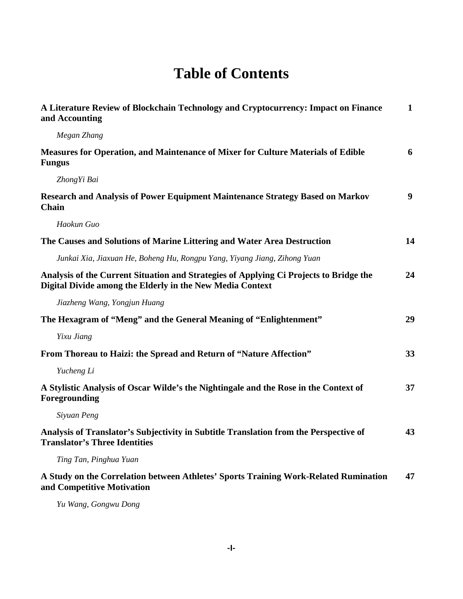## **Table of Contents**

| A Literature Review of Blockchain Technology and Cryptocurrency: Impact on Finance<br>and Accounting                                                | $\mathbf{1}$ |
|-----------------------------------------------------------------------------------------------------------------------------------------------------|--------------|
| Megan Zhang                                                                                                                                         |              |
| <b>Measures for Operation, and Maintenance of Mixer for Culture Materials of Edible</b><br><b>Fungus</b>                                            | 6            |
| Zhong Yi Bai                                                                                                                                        |              |
| Research and Analysis of Power Equipment Maintenance Strategy Based on Markov<br><b>Chain</b>                                                       | 9            |
| Haokun Guo                                                                                                                                          |              |
| The Causes and Solutions of Marine Littering and Water Area Destruction                                                                             | 14           |
| Junkai Xia, Jiaxuan He, Boheng Hu, Rongpu Yang, Yiyang Jiang, Zihong Yuan                                                                           |              |
| Analysis of the Current Situation and Strategies of Applying Ci Projects to Bridge the<br>Digital Divide among the Elderly in the New Media Context | 24           |
| Jiazheng Wang, Yongjun Huang                                                                                                                        |              |
| The Hexagram of "Meng" and the General Meaning of "Enlightenment"                                                                                   | 29           |
| Yixu Jiang                                                                                                                                          |              |
| From Thoreau to Haizi: the Spread and Return of "Nature Affection"                                                                                  | 33           |
| Yucheng Li                                                                                                                                          |              |
| A Stylistic Analysis of Oscar Wilde's the Nightingale and the Rose in the Context of<br>Foregrounding                                               | 37           |
| Siyuan Peng                                                                                                                                         |              |
| Analysis of Translator's Subjectivity in Subtitle Translation from the Perspective of<br><b>Translator's Three Identities</b>                       | 43           |
| Ting Tan, Pinghua Yuan                                                                                                                              |              |
| A Study on the Correlation between Athletes' Sports Training Work-Related Rumination<br>and Competitive Motivation                                  | 47           |
| Yu Wang, Gongwu Dong                                                                                                                                |              |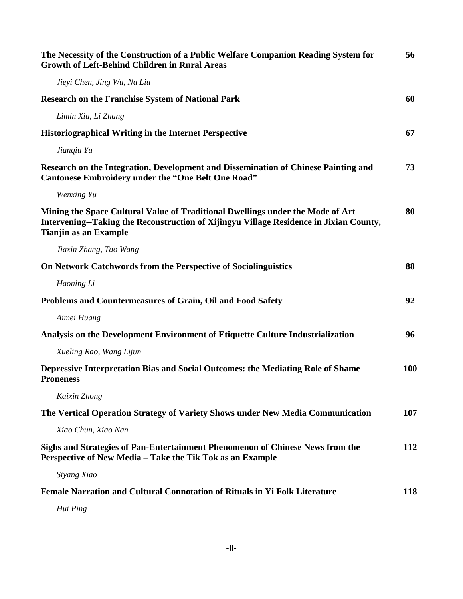| The Necessity of the Construction of a Public Welfare Companion Reading System for<br><b>Growth of Left-Behind Children in Rural Areas</b>                                                               | 56         |
|----------------------------------------------------------------------------------------------------------------------------------------------------------------------------------------------------------|------------|
| Jieyi Chen, Jing Wu, Na Liu                                                                                                                                                                              |            |
| <b>Research on the Franchise System of National Park</b>                                                                                                                                                 | 60         |
| Limin Xia, Li Zhang                                                                                                                                                                                      |            |
| <b>Historiographical Writing in the Internet Perspective</b>                                                                                                                                             | 67         |
| Jianqiu Yu                                                                                                                                                                                               |            |
| Research on the Integration, Development and Dissemination of Chinese Painting and<br><b>Cantonese Embroidery under the "One Belt One Road"</b>                                                          | 73         |
| Wenxing Yu                                                                                                                                                                                               |            |
| Mining the Space Cultural Value of Traditional Dwellings under the Mode of Art<br>Intervening--Taking the Reconstruction of Xijingyu Village Residence in Jixian County,<br><b>Tianjin as an Example</b> | 80         |
| Jiaxin Zhang, Tao Wang                                                                                                                                                                                   |            |
| On Network Catchwords from the Perspective of Sociolinguistics                                                                                                                                           | 88         |
| Haoning Li                                                                                                                                                                                               |            |
| Problems and Countermeasures of Grain, Oil and Food Safety                                                                                                                                               | 92         |
| Aimei Huang                                                                                                                                                                                              |            |
| Analysis on the Development Environment of Etiquette Culture Industrialization                                                                                                                           | 96         |
| Xueling Rao, Wang Lijun                                                                                                                                                                                  |            |
| <b>Depressive Interpretation Bias and Social Outcomes: the Mediating Role of Shame</b><br><b>Proneness</b>                                                                                               | <b>100</b> |
| Kaixin Zhong                                                                                                                                                                                             |            |
| The Vertical Operation Strategy of Variety Shows under New Media Communication                                                                                                                           | 107        |
| Xiao Chun, Xiao Nan                                                                                                                                                                                      |            |
| Sighs and Strategies of Pan-Entertainment Phenomenon of Chinese News from the<br>Perspective of New Media - Take the Tik Tok as an Example                                                               | <b>112</b> |
| Siyang Xiao                                                                                                                                                                                              |            |
| <b>Female Narration and Cultural Connotation of Rituals in Yi Folk Literature</b>                                                                                                                        | 118        |
| Hui Ping                                                                                                                                                                                                 |            |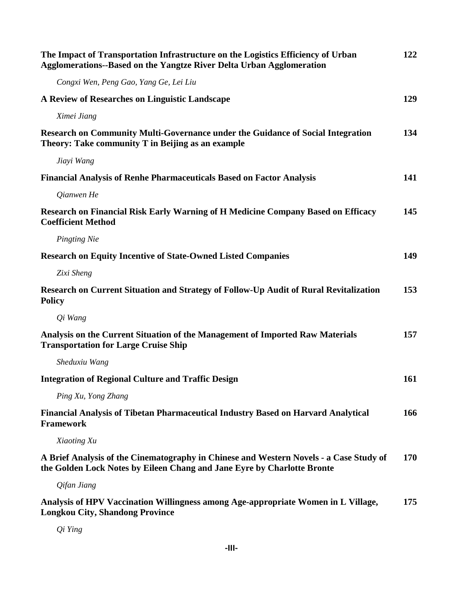| The Impact of Transportation Infrastructure on the Logistics Efficiency of Urban<br><b>Agglomerations--Based on the Yangtze River Delta Urban Agglomeration</b>   | 122 |
|-------------------------------------------------------------------------------------------------------------------------------------------------------------------|-----|
| Congxi Wen, Peng Gao, Yang Ge, Lei Liu                                                                                                                            |     |
| A Review of Researches on Linguistic Landscape                                                                                                                    | 129 |
| Ximei Jiang                                                                                                                                                       |     |
| Research on Community Multi-Governance under the Guidance of Social Integration<br>Theory: Take community T in Beijing as an example                              | 134 |
| Jiayi Wang                                                                                                                                                        |     |
| <b>Financial Analysis of Renhe Pharmaceuticals Based on Factor Analysis</b>                                                                                       | 141 |
| Qianwen He                                                                                                                                                        |     |
| Research on Financial Risk Early Warning of H Medicine Company Based on Efficacy<br><b>Coefficient Method</b>                                                     | 145 |
| Pingting Nie                                                                                                                                                      |     |
| <b>Research on Equity Incentive of State-Owned Listed Companies</b>                                                                                               | 149 |
| Zixi Sheng                                                                                                                                                        |     |
| Research on Current Situation and Strategy of Follow-Up Audit of Rural Revitalization<br><b>Policy</b>                                                            | 153 |
| Qi Wang                                                                                                                                                           |     |
| Analysis on the Current Situation of the Management of Imported Raw Materials<br><b>Transportation for Large Cruise Ship</b>                                      | 157 |
| Sheduxiu Wang                                                                                                                                                     |     |
| <b>Integration of Regional Culture and Traffic Design</b>                                                                                                         | 161 |
| Ping Xu, Yong Zhang                                                                                                                                               |     |
| <b>Financial Analysis of Tibetan Pharmaceutical Industry Based on Harvard Analytical</b><br><b>Framework</b>                                                      | 166 |
| Xiaoting Xu                                                                                                                                                       |     |
| A Brief Analysis of the Cinematography in Chinese and Western Novels - a Case Study of<br>the Golden Lock Notes by Eileen Chang and Jane Eyre by Charlotte Bronte | 170 |
| Qifan Jiang                                                                                                                                                       |     |
| Analysis of HPV Vaccination Willingness among Age-appropriate Women in L Village,<br><b>Longkou City, Shandong Province</b>                                       | 175 |
|                                                                                                                                                                   |     |

*Qi Ying*